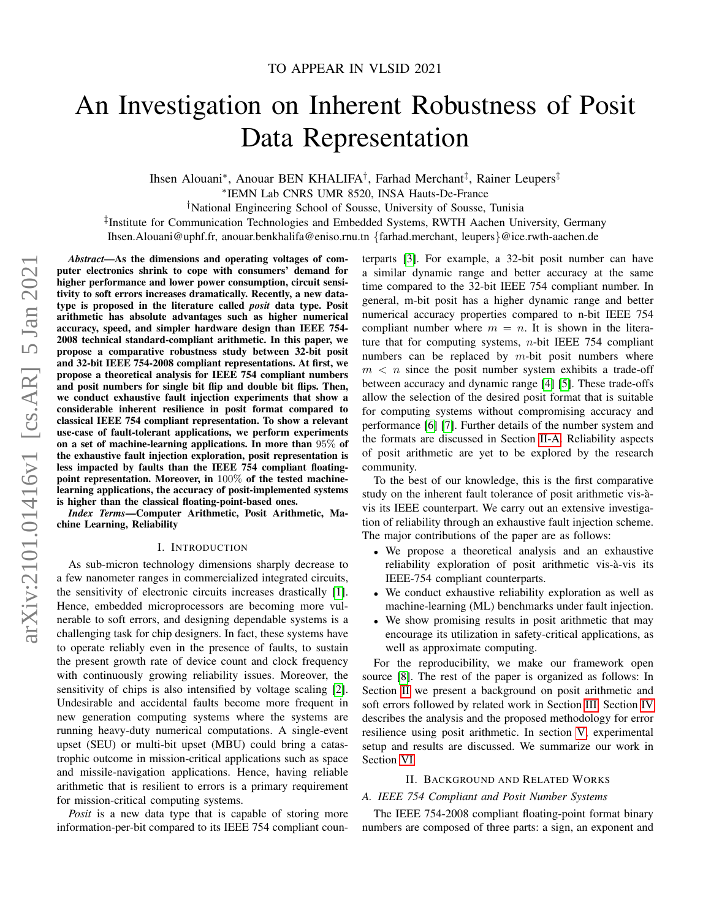# An Investigation on Inherent Robustness of Posit Data Representation

Ihsen Alouani\*, Anouar BEN KHALIFA<sup>†</sup>, Farhad Merchant<sup>‡</sup>, Rainer Leupers<sup>‡</sup>

∗ IEMN Lab CNRS UMR 8520, INSA Hauts-De-France

†National Engineering School of Sousse, University of Sousse, Tunisia

‡ Institute for Communication Technologies and Embedded Systems, RWTH Aachen University, Germany

Ihsen.Alouani@uphf.fr, anouar.benkhalifa@eniso.rnu.tn {farhad.merchant, leupers}@ice.rwth-aachen.de

*Abstract*—As the dimensions and operating voltages of computer electronics shrink to cope with consumers' demand for higher performance and lower power consumption, circuit sensitivity to soft errors increases dramatically. Recently, a new datatype is proposed in the literature called *posit* data type. Posit arithmetic has absolute advantages such as higher numerical accuracy, speed, and simpler hardware design than IEEE 754- 2008 technical standard-compliant arithmetic. In this paper, we propose a comparative robustness study between 32-bit posit and 32-bit IEEE 754-2008 compliant representations. At first, we propose a theoretical analysis for IEEE 754 compliant numbers and posit numbers for single bit flip and double bit flips. Then, we conduct exhaustive fault injection experiments that show a considerable inherent resilience in posit format compared to classical IEEE 754 compliant representation. To show a relevant use-case of fault-tolerant applications, we perform experiments on a set of machine-learning applications. In more than 95% of the exhaustive fault injection exploration, posit representation is less impacted by faults than the IEEE 754 compliant floatingpoint representation. Moreover, in 100% of the tested machinelearning applications, the accuracy of posit-implemented systems is higher than the classical floating-point-based ones.

*Index Terms*—Computer Arithmetic, Posit Arithmetic, Machine Learning, Reliability

#### I. INTRODUCTION

As sub-micron technology dimensions sharply decrease to a few nanometer ranges in commercialized integrated circuits, the sensitivity of electronic circuits increases drastically [\[1\]](#page-5-0). Hence, embedded microprocessors are becoming more vulnerable to soft errors, and designing dependable systems is a challenging task for chip designers. In fact, these systems have to operate reliably even in the presence of faults, to sustain the present growth rate of device count and clock frequency with continuously growing reliability issues. Moreover, the sensitivity of chips is also intensified by voltage scaling [\[2\]](#page-5-1). Undesirable and accidental faults become more frequent in new generation computing systems where the systems are running heavy-duty numerical computations. A single-event upset (SEU) or multi-bit upset (MBU) could bring a catastrophic outcome in mission-critical applications such as space and missile-navigation applications. Hence, having reliable arithmetic that is resilient to errors is a primary requirement for mission-critical computing systems.

*Posit* is a new data type that is capable of storing more information-per-bit compared to its IEEE 754 compliant counterparts [\[3\]](#page-5-2). For example, a 32-bit posit number can have a similar dynamic range and better accuracy at the same time compared to the 32-bit IEEE 754 compliant number. In general, m-bit posit has a higher dynamic range and better numerical accuracy properties compared to n-bit IEEE 754 compliant number where  $m = n$ . It is shown in the literature that for computing systems,  $n$ -bit IEEE 754 compliant numbers can be replaced by  $m$ -bit posit numbers where  $m < n$  since the posit number system exhibits a trade-off between accuracy and dynamic range [\[4\]](#page-5-3) [\[5\]](#page-5-4). These trade-offs allow the selection of the desired posit format that is suitable for computing systems without compromising accuracy and performance [\[6\]](#page-5-5) [\[7\]](#page-5-6). Further details of the number system and the formats are discussed in Section [II-A.](#page-0-0) Reliability aspects of posit arithmetic are yet to be explored by the research community.

To the best of our knowledge, this is the first comparative study on the inherent fault tolerance of posit arithmetic vis-àvis its IEEE counterpart. We carry out an extensive investigation of reliability through an exhaustive fault injection scheme. The major contributions of the paper are as follows:

- We propose a theoretical analysis and an exhaustive reliability exploration of posit arithmetic vis-à-vis its IEEE-754 compliant counterparts.
- We conduct exhaustive reliability exploration as well as machine-learning (ML) benchmarks under fault injection.
- We show promising results in posit arithmetic that may encourage its utilization in safety-critical applications, as well as approximate computing.

For the reproducibility, we make our framework open source [\[8\]](#page-5-7). The rest of the paper is organized as follows: In Section [II](#page-0-1) we present a background on posit arithmetic and soft errors followed by related work in Section [III.](#page-1-0) Section [IV](#page-2-0) describes the analysis and the proposed methodology for error resilience using posit arithmetic. In section [V,](#page-3-0) experimental setup and results are discussed. We summarize our work in Section [VI.](#page-5-8)

### II. BACKGROUND AND RELATED WORKS

#### <span id="page-0-1"></span><span id="page-0-0"></span>*A. IEEE 754 Compliant and Posit Number Systems*

The IEEE 754-2008 compliant floating-point format binary numbers are composed of three parts: a sign, an exponent and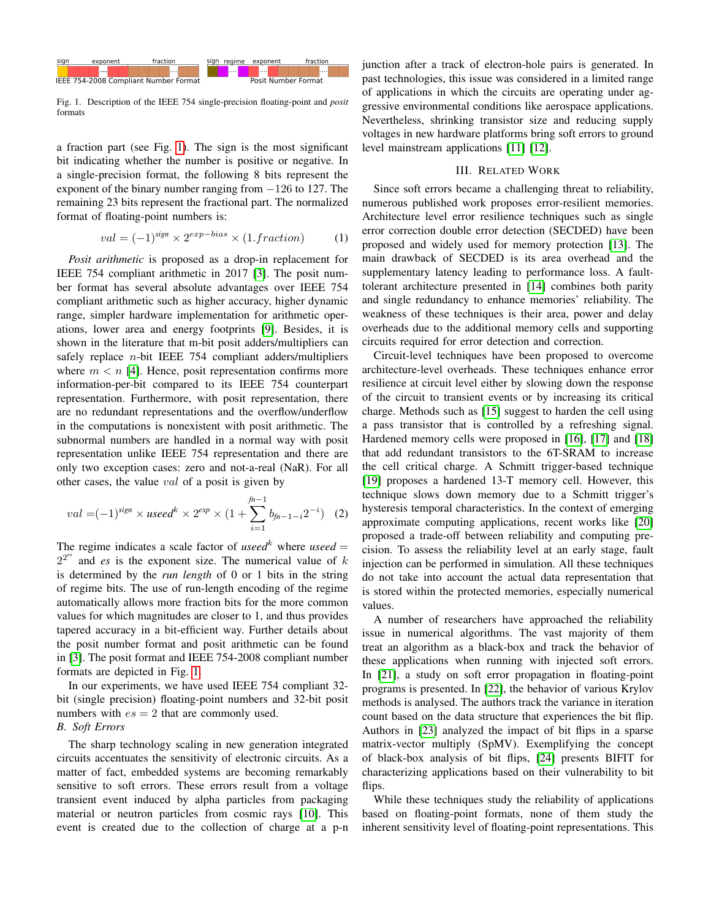

<span id="page-1-1"></span>Fig. 1. Description of the IEEE 754 single-precision floating-point and *posit* formats

a fraction part (see Fig. [1\)](#page-1-1). The sign is the most significant bit indicating whether the number is positive or negative. In a single-precision format, the following 8 bits represent the exponent of the binary number ranging from  $-126$  to 127. The remaining 23 bits represent the fractional part. The normalized format of floating-point numbers is:

$$
val = (-1)^{sign} \times 2^{exp-bias} \times (1.fraction)
$$
 (1)

*Posit arithmetic* is proposed as a drop-in replacement for IEEE 754 compliant arithmetic in 2017 [\[3\]](#page-5-2). The posit number format has several absolute advantages over IEEE 754 compliant arithmetic such as higher accuracy, higher dynamic range, simpler hardware implementation for arithmetic operations, lower area and energy footprints [\[9\]](#page-5-9). Besides, it is shown in the literature that m-bit posit adders/multipliers can safely replace  $n$ -bit IEEE 754 compliant adders/multipliers where  $m < n$  [\[4\]](#page-5-3). Hence, posit representation confirms more information-per-bit compared to its IEEE 754 counterpart representation. Furthermore, with posit representation, there are no redundant representations and the overflow/underflow in the computations is nonexistent with posit arithmetic. The subnormal numbers are handled in a normal way with posit representation unlike IEEE 754 representation and there are only two exception cases: zero and not-a-real (NaR). For all other cases, the value val of a posit is given by

$$
val = (-1)^{sign} \times useedk \times 2^{exp} \times (1 + \sum_{i=1}^{fn-1} b_{fn-1-i} 2^{-i})
$$
 (2)

The regime indicates a scale factor of *useed*<sup>k</sup> where *useed* =  $2^{2^{es}}$  and *es* is the exponent size. The numerical value of k is determined by the *run length* of 0 or 1 bits in the string of regime bits. The use of run-length encoding of the regime automatically allows more fraction bits for the more common values for which magnitudes are closer to 1, and thus provides tapered accuracy in a bit-efficient way. Further details about the posit number format and posit arithmetic can be found in [\[3\]](#page-5-2). The posit format and IEEE 754-2008 compliant number formats are depicted in Fig. [1.](#page-1-1)

In our experiments, we have used IEEE 754 compliant 32 bit (single precision) floating-point numbers and 32-bit posit numbers with  $es = 2$  that are commonly used. *B. Soft Errors*

# The sharp technology scaling in new generation integrated circuits accentuates the sensitivity of electronic circuits. As a matter of fact, embedded systems are becoming remarkably sensitive to soft errors. These errors result from a voltage transient event induced by alpha particles from packaging material or neutron particles from cosmic rays [\[10\]](#page-5-10). This event is created due to the collection of charge at a p-n

junction after a track of electron-hole pairs is generated. In past technologies, this issue was considered in a limited range of applications in which the circuits are operating under aggressive environmental conditions like aerospace applications. Nevertheless, shrinking transistor size and reducing supply voltages in new hardware platforms bring soft errors to ground level mainstream applications [\[11\]](#page-5-11) [\[12\]](#page-5-12).

#### III. RELATED WORK

<span id="page-1-0"></span>Since soft errors became a challenging threat to reliability, numerous published work proposes error-resilient memories. Architecture level error resilience techniques such as single error correction double error detection (SECDED) have been proposed and widely used for memory protection [\[13\]](#page-5-13). The main drawback of SECDED is its area overhead and the supplementary latency leading to performance loss. A faulttolerant architecture presented in [\[14\]](#page-5-14) combines both parity and single redundancy to enhance memories' reliability. The weakness of these techniques is their area, power and delay overheads due to the additional memory cells and supporting circuits required for error detection and correction.

Circuit-level techniques have been proposed to overcome architecture-level overheads. These techniques enhance error resilience at circuit level either by slowing down the response of the circuit to transient events or by increasing its critical charge. Methods such as [\[15\]](#page-5-15) suggest to harden the cell using a pass transistor that is controlled by a refreshing signal. Hardened memory cells were proposed in [\[16\]](#page-5-16), [\[17\]](#page-5-17) and [\[18\]](#page-5-18) that add redundant transistors to the 6T-SRAM to increase the cell critical charge. A Schmitt trigger-based technique [\[19\]](#page-5-19) proposes a hardened 13-T memory cell. However, this technique slows down memory due to a Schmitt trigger's hysteresis temporal characteristics. In the context of emerging approximate computing applications, recent works like [\[20\]](#page-5-20) proposed a trade-off between reliability and computing precision. To assess the reliability level at an early stage, fault injection can be performed in simulation. All these techniques do not take into account the actual data representation that is stored within the protected memories, especially numerical values.

<span id="page-1-2"></span>A number of researchers have approached the reliability issue in numerical algorithms. The vast majority of them treat an algorithm as a black-box and track the behavior of these applications when running with injected soft errors. In [\[21\]](#page-5-21), a study on soft error propagation in floating-point programs is presented. In [\[22\]](#page-5-22), the behavior of various Krylov methods is analysed. The authors track the variance in iteration count based on the data structure that experiences the bit flip. Authors in [\[23\]](#page-5-23) analyzed the impact of bit flips in a sparse matrix-vector multiply (SpMV). Exemplifying the concept of black-box analysis of bit flips, [\[24\]](#page-5-24) presents BIFIT for characterizing applications based on their vulnerability to bit flips.

While these techniques study the reliability of applications based on floating-point formats, none of them study the inherent sensitivity level of floating-point representations. This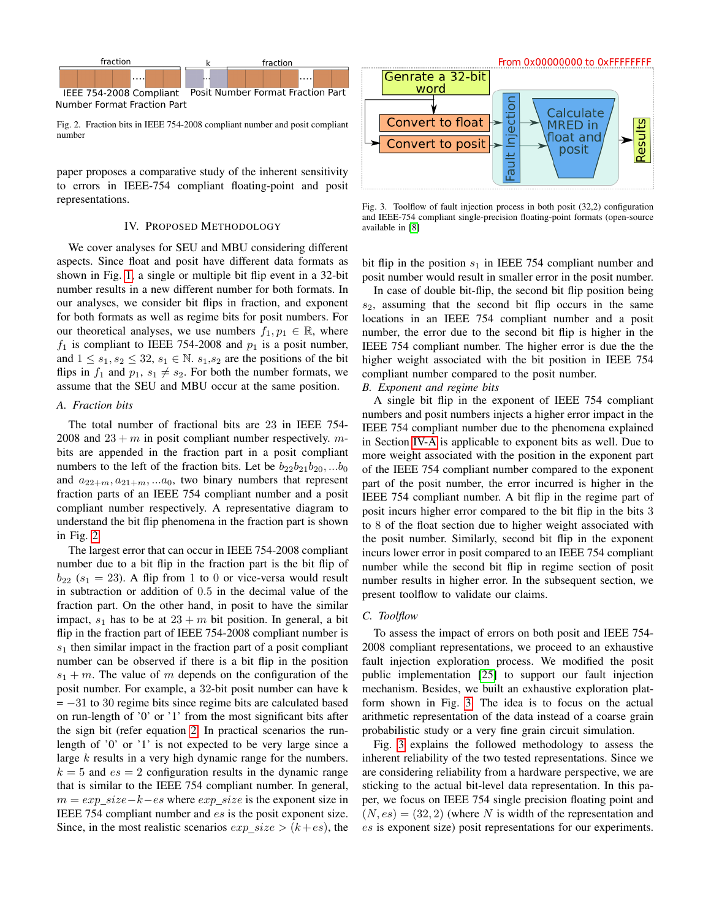

<span id="page-2-1"></span>Fig. 2. Fraction bits in IEEE 754-2008 compliant number and posit compliant number

paper proposes a comparative study of the inherent sensitivity to errors in IEEE-754 compliant floating-point and posit representations.

#### IV. PROPOSED METHODOLOGY

<span id="page-2-0"></span>We cover analyses for SEU and MBU considering different aspects. Since float and posit have different data formats as shown in Fig. [1,](#page-1-1) a single or multiple bit flip event in a 32-bit number results in a new different number for both formats. In our analyses, we consider bit flips in fraction, and exponent for both formats as well as regime bits for posit numbers. For our theoretical analyses, we use numbers  $f_1, p_1 \in \mathbb{R}$ , where  $f_1$  is compliant to IEEE 754-2008 and  $p_1$  is a posit number, and  $1 \leq s_1, s_2 \leq 32, s_1 \in \mathbb{N}$ .  $s_1, s_2$  are the positions of the bit flips in  $f_1$  and  $p_1, s_1 \neq s_2$ . For both the number formats, we assume that the SEU and MBU occur at the same position.

#### <span id="page-2-2"></span>*A. Fraction bits*

The total number of fractional bits are 23 in IEEE 754- 2008 and  $23 + m$  in posit compliant number respectively. mbits are appended in the fraction part in a posit compliant numbers to the left of the fraction bits. Let be  $b_{22}b_{21}b_{20}$ , ...b<sub>0</sub> and  $a_{22+m}, a_{21+m}, \ldots, a_0$ , two binary numbers that represent fraction parts of an IEEE 754 compliant number and a posit compliant number respectively. A representative diagram to understand the bit flip phenomena in the fraction part is shown in Fig. [2.](#page-2-1)

The largest error that can occur in IEEE 754-2008 compliant number due to a bit flip in the fraction part is the bit flip of  $b_{22}$  ( $s_1 = 23$ ). A flip from 1 to 0 or vice-versa would result in subtraction or addition of 0.5 in the decimal value of the fraction part. On the other hand, in posit to have the similar impact,  $s_1$  has to be at  $23 + m$  bit position. In general, a bit flip in the fraction part of IEEE 754-2008 compliant number is  $s<sub>1</sub>$  then similar impact in the fraction part of a posit compliant number can be observed if there is a bit flip in the position  $s_1 + m$ . The value of m depends on the configuration of the posit number. For example, a 32-bit posit number can have k  $= -31$  to 30 regime bits since regime bits are calculated based on run-length of '0' or '1' from the most significant bits after the sign bit (refer equation [2.](#page-1-2) In practical scenarios the runlength of '0' or '1' is not expected to be very large since a large  $k$  results in a very high dynamic range for the numbers.  $k = 5$  and  $es = 2$  configuration results in the dynamic range that is similar to the IEEE 754 compliant number. In general,  $m = exp\_size-k-es$  where  $exp\_size$  is the exponent size in IEEE 754 compliant number and es is the posit exponent size. Since, in the most realistic scenarios  $exp\_size > (k+es)$ , the



<span id="page-2-3"></span>Fig. 3. Toolflow of fault injection process in both posit (32,2) configuration and IEEE-754 compliant single-precision floating-point formats (open-source available in [\[8\]](#page-5-7)

bit flip in the position  $s_1$  in IEEE 754 compliant number and posit number would result in smaller error in the posit number.

In case of double bit-flip, the second bit flip position being  $s_2$ , assuming that the second bit flip occurs in the same locations in an IEEE 754 compliant number and a posit number, the error due to the second bit flip is higher in the IEEE 754 compliant number. The higher error is due the the higher weight associated with the bit position in IEEE 754 compliant number compared to the posit number.

#### *B. Exponent and regime bits*

A single bit flip in the exponent of IEEE 754 compliant numbers and posit numbers injects a higher error impact in the IEEE 754 compliant number due to the phenomena explained in Section [IV-A](#page-2-2) is applicable to exponent bits as well. Due to more weight associated with the position in the exponent part of the IEEE 754 compliant number compared to the exponent part of the posit number, the error incurred is higher in the IEEE 754 compliant number. A bit flip in the regime part of posit incurs higher error compared to the bit flip in the bits 3 to 8 of the float section due to higher weight associated with the posit number. Similarly, second bit flip in the exponent incurs lower error in posit compared to an IEEE 754 compliant number while the second bit flip in regime section of posit number results in higher error. In the subsequent section, we present toolflow to validate our claims.

#### *C. Toolflow*

To assess the impact of errors on both posit and IEEE 754- 2008 compliant representations, we proceed to an exhaustive fault injection exploration process. We modified the posit public implementation [\[25\]](#page-5-25) to support our fault injection mechanism. Besides, we built an exhaustive exploration platform shown in Fig. [3.](#page-2-3) The idea is to focus on the actual arithmetic representation of the data instead of a coarse grain probabilistic study or a very fine grain circuit simulation.

Fig. [3](#page-2-3) explains the followed methodology to assess the inherent reliability of the two tested representations. Since we are considering reliability from a hardware perspective, we are sticking to the actual bit-level data representation. In this paper, we focus on IEEE 754 single precision floating point and  $(N, es) = (32, 2)$  (where N is width of the representation and es is exponent size) posit representations for our experiments.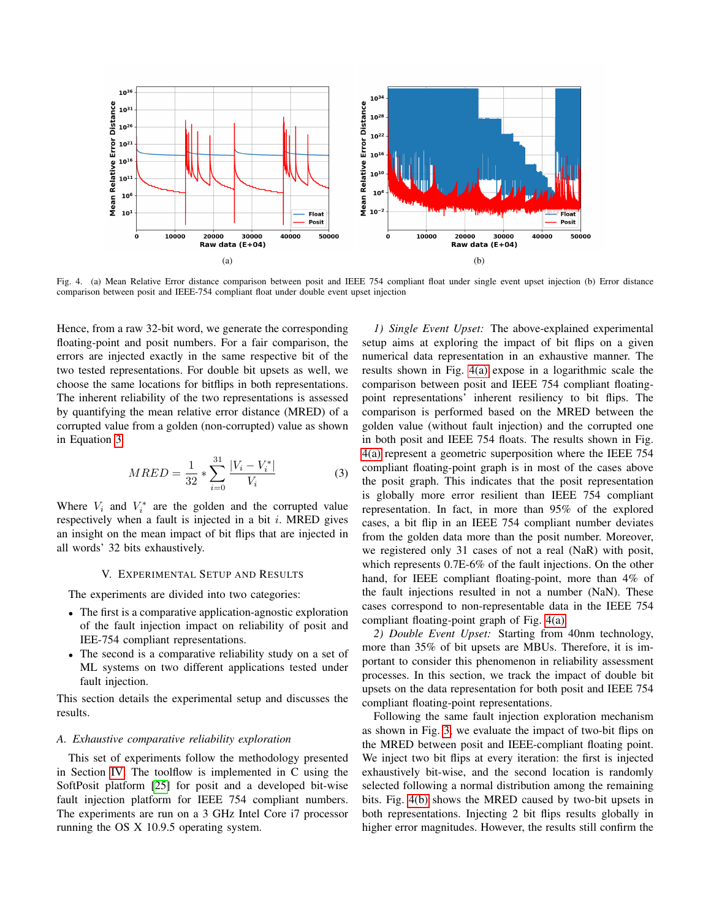<span id="page-3-2"></span>

Fig. 4. (a) Mean Relative Error distance comparison between posit and IEEE 754 compliant float under single event upset injection (b) Error distance comparison between posit and IEEE-754 compliant float under double event upset injection

Hence, from a raw 32-bit word, we generate the corresponding floating-point and posit numbers. For a fair comparison, the errors are injected exactly in the same respective bit of the two tested representations. For double bit upsets as well, we choose the same locations for bitflips in both representations. The inherent reliability of the two representations is assessed by quantifying the mean relative error distance (MRED) of a corrupted value from a golden (non-corrupted) value as shown in Equation [3.](#page-3-1)

<span id="page-3-1"></span>
$$
MRED = \frac{1}{32} * \sum_{i=0}^{31} \frac{|V_i - V_i^*|}{V_i}
$$
 (3)

Where  $V_i$  and  $V_i^*$  are the golden and the corrupted value respectively when a fault is injected in a bit  $i$ . MRED gives an insight on the mean impact of bit flips that are injected in all words' 32 bits exhaustively.

# V. EXPERIMENTAL SETUP AND RESULTS

<span id="page-3-0"></span>The experiments are divided into two categories:

- The first is a comparative application-agnostic exploration of the fault injection impact on reliability of posit and IEE-754 compliant representations.
- The second is a comparative reliability study on a set of ML systems on two different applications tested under fault injection.

This section details the experimental setup and discusses the results.

#### <span id="page-3-4"></span>*A. Exhaustive comparative reliability exploration*

This set of experiments follow the methodology presented in Section [IV.](#page-2-0) The toolflow is implemented in C using the SoftPosit platform [\[25\]](#page-5-25) for posit and a developed bit-wise fault injection platform for IEEE 754 compliant numbers. The experiments are run on a 3 GHz Intel Core i7 processor running the OS X 10.9.5 operating system.

<span id="page-3-3"></span>*1) Single Event Upset:* The above-explained experimental setup aims at exploring the impact of bit flips on a given numerical data representation in an exhaustive manner. The results shown in Fig. [4\(a\)](#page-3-2) expose in a logarithmic scale the comparison between posit and IEEE 754 compliant floatingpoint representations' inherent resiliency to bit flips. The comparison is performed based on the MRED between the golden value (without fault injection) and the corrupted one in both posit and IEEE 754 floats. The results shown in Fig. [4\(a\)](#page-3-2) represent a geometric superposition where the IEEE 754 compliant floating-point graph is in most of the cases above the posit graph. This indicates that the posit representation is globally more error resilient than IEEE 754 compliant representation. In fact, in more than 95% of the explored cases, a bit flip in an IEEE 754 compliant number deviates from the golden data more than the posit number. Moreover, we registered only 31 cases of not a real (NaR) with posit, which represents 0.7E-6% of the fault injections. On the other hand, for IEEE compliant floating-point, more than 4% of the fault injections resulted in not a number (NaN). These cases correspond to non-representable data in the IEEE 754 compliant floating-point graph of Fig. [4\(a\).](#page-3-2)

*2) Double Event Upset:* Starting from 40nm technology, more than 35% of bit upsets are MBUs. Therefore, it is important to consider this phenomenon in reliability assessment processes. In this section, we track the impact of double bit upsets on the data representation for both posit and IEEE 754 compliant floating-point representations.

Following the same fault injection exploration mechanism as shown in Fig. [3,](#page-2-3) we evaluate the impact of two-bit flips on the MRED between posit and IEEE-compliant floating point. We inject two bit flips at every iteration: the first is injected exhaustively bit-wise, and the second location is randomly selected following a normal distribution among the remaining bits. Fig. [4\(b\)](#page-3-3) shows the MRED caused by two-bit upsets in both representations. Injecting 2 bit flips results globally in higher error magnitudes. However, the results still confirm the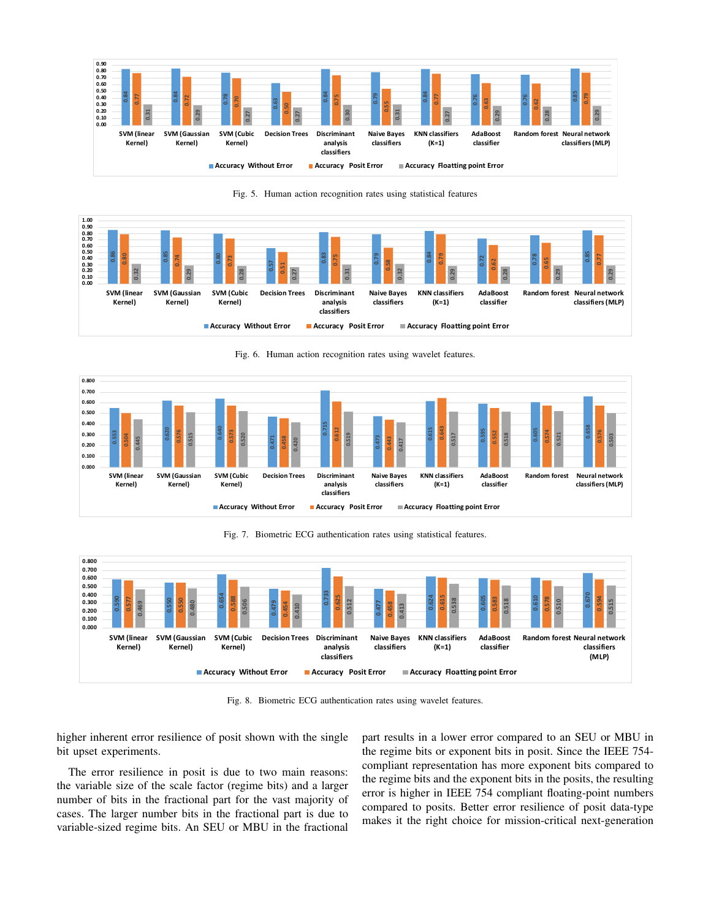

<span id="page-4-0"></span>Fig. 5. Human action recognition rates using statistical features



<span id="page-4-1"></span>Fig. 6. Human action recognition rates using wavelet features.



<span id="page-4-2"></span>Fig. 7. Biometric ECG authentication rates using statistical features.



<span id="page-4-3"></span>Fig. 8. Biometric ECG authentication rates using wavelet features.

higher inherent error resilience of posit shown with the single bit upset experiments.

The error resilience in posit is due to two main reasons: the variable size of the scale factor (regime bits) and a larger number of bits in the fractional part for the vast majority of cases. The larger number bits in the fractional part is due to variable-sized regime bits. An SEU or MBU in the fractional part results in a lower error compared to an SEU or MBU in the regime bits or exponent bits in posit. Since the IEEE 754 compliant representation has more exponent bits compared to the regime bits and the exponent bits in the posits, the resulting error is higher in IEEE 754 compliant floating-point numbers compared to posits. Better error resilience of posit data-type makes it the right choice for mission-critical next-generation